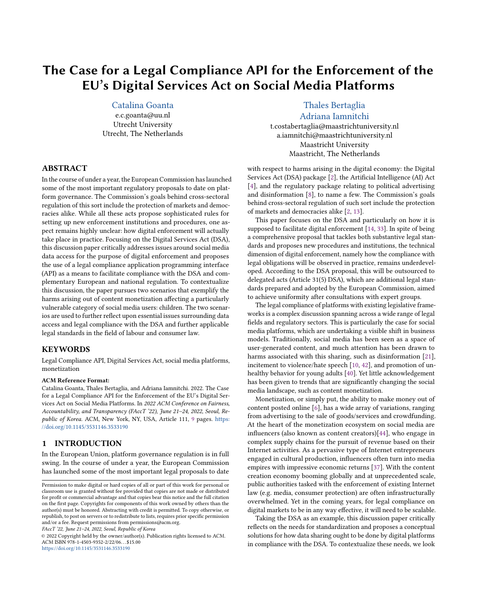# The Case for a Legal Compliance API for the Enforcement of the EU's Digital Services Act on Social Media Platforms

## [Catalina Goanta](https://orcid.org/0000-0002-1044-9800)

e.c.goanta@uu.nl Utrecht University Utrecht, The Netherlands

#### ABSTRACT

In the course of under a year, the European Commission has launched some of the most important regulatory proposals to date on platform governance. The Commission's goals behind cross-sectoral regulation of this sort include the protection of markets and democracies alike. While all these acts propose sophisticated rules for setting up new enforcement institutions and procedures, one aspect remains highly unclear: how digital enforcement will actually take place in practice. Focusing on the Digital Services Act (DSA), this discussion paper critically addresses issues around social media data access for the purpose of digital enforcement and proposes the use of a legal compliance application programming interface (API) as a means to facilitate compliance with the DSA and complementary European and national regulation. To contextualize this discussion, the paper pursues two scenarios that exemplify the harms arising out of content monetization affecting a particularly vulnerable category of social media users: children. The two scenarios are used to further reflect upon essential issues surrounding data access and legal compliance with the DSA and further applicable legal standards in the field of labour and consumer law.

#### **KEYWORDS**

Legal Compliance API, Digital Services Act, social media platforms, monetization

#### ACM Reference Format:

Catalina Goanta, Thales Bertaglia, and Adriana Iamnitchi. 2022. The Case for a Legal Compliance API for the Enforcement of the EU's Digital Services Act on Social Media Platforms. In 2022 ACM Conference on Fairness, Accountability, and Transparency (FAccT '22), June 21–24, 2022, Seoul, Re-public of Korea. ACM, New York, NY, USA, Article 111, [9](#page-8-0) pages. [https:](https://doi.org/10.1145/3531146.3533190) [//doi.org/10.1145/3531146.3533190](https://doi.org/10.1145/3531146.3533190)

#### 1 INTRODUCTION

In the European Union, platform governance regulation is in full swing. In the course of under a year, the European Commission has launched some of the most important legal proposals to date

FAccT '22, June 21–24, 2022, Seoul, Republic of Korea

© 2022 Copyright held by the owner/author(s). Publication rights licensed to ACM. ACM ISBN 978-1-4503-9352-2/22/06. . . \$15.00 <https://doi.org/10.1145/3531146.3533190>

[Thales Bertaglia](https://orcid.org/0000-0003-0897-4005) [Adriana Iamnitchi](https://orcid.org/0000-0002-2397-8963)

t.costabertaglia@maastrichtuniversity.nl a.iamnitchi@maastrichtuniversity.nl Maastricht University Maastricht, The Netherlands

with respect to harms arising in the digital economy: the Digital Services Act (DSA) package [\[2\]](#page-7-0), the Artificial Intelligence (AI) Act [\[4\]](#page-7-1), and the regulatory package relating to political advertising and disinformation [\[8\]](#page-7-2), to name a few. The Commission's goals behind cross-sectoral regulation of such sort include the protection of markets and democracies alike [\[2,](#page-7-0) [13\]](#page-7-3).

This paper focuses on the DSA and particularly on how it is supposed to facilitate digital enforcement [\[14,](#page-7-4) [33\]](#page-8-1). In spite of being a comprehensive proposal that tackles both substantive legal standards and proposes new procedures and institutions, the technical dimension of digital enforcement, namely how the compliance with legal obligations will be observed in practice, remains underdeveloped. According to the DSA proposal, this will be outsourced to delegated acts (Article 31(5) DSA), which are additional legal standards prepared and adopted by the European Commission, aimed to achieve uniformity after consultations with expert groups.

The legal compliance of platforms with existing legislative frameworks is a complex discussion spanning across a wide range of legal fields and regulatory sectors. This is particularly the case for social media platforms, which are undertaking a visible shift in business models. Traditionally, social media has been seen as a space of user-generated content, and much attention has been drawn to harms associated with this sharing, such as disinformation [\[21\]](#page-7-5), incitement to violence/hate speech [\[10,](#page-7-6) [42\]](#page-8-2), and promotion of unhealthy behavior for young adults [\[40\]](#page-8-3). Yet little acknowledgement has been given to trends that are significantly changing the social media landscape, such as content monetization.

Monetization, or simply put, the ability to make money out of content posted online [\[6\]](#page-7-7), has a wide array of variations, ranging from advertising to the sale of goods/services and crowdfunding. At the heart of the monetization ecosystem on social media are influencers (also known as content creators)[\[44\]](#page-8-4), who engage in complex supply chains for the pursuit of revenue based on their Internet activities. As a pervasive type of Internet entrepreneurs engaged in cultural production, influencers often turn into media empires with impressive economic returns [\[37\]](#page-8-5). With the content creation economy booming globally and at unprecedented scale, public authorities tasked with the enforcement of existing Internet law (e.g. media, consumer protection) are often infrastructurally overwhelmed. Yet in the coming years, for legal compliance on digital markets to be in any way effective, it will need to be scalable.

Taking the DSA as an example, this discussion paper critically reflects on the needs for standardization and proposes a conceptual solutions for how data sharing ought to be done by digital platforms in compliance with the DSA. To contextualize these needs, we look

Permission to make digital or hard copies of all or part of this work for personal or classroom use is granted without fee provided that copies are not made or distributed for profit or commercial advantage and that copies bear this notice and the full citation on the first page. Copyrights for components of this work owned by others than the author(s) must be honored. Abstracting with credit is permitted. To copy otherwise, or republish, to post on servers or to redistribute to lists, requires prior specific permission and/or a fee. Request permissions from permissions@acm.org.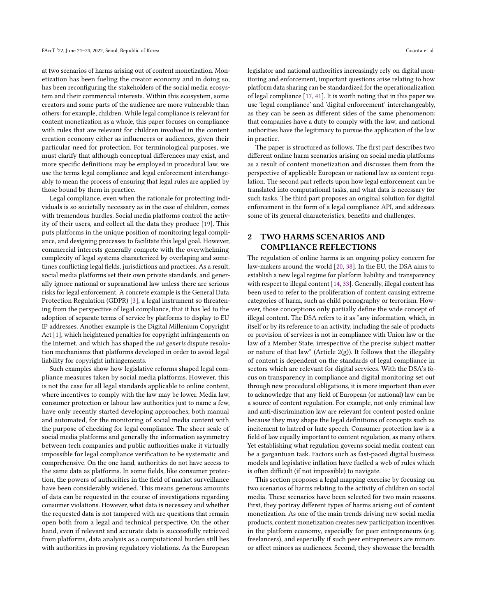at two scenarios of harms arising out of content monetization. Monetization has been fueling the creator economy and in doing so, has been reconfiguring the stakeholders of the social media ecosystem and their commercial interests. Within this ecosystem, some creators and some parts of the audience are more vulnerable than others: for example, children. While legal compliance is relevant for content monetization as a whole, this paper focuses on compliance with rules that are relevant for children involved in the content creation economy either as influencers or audiences, given their particular need for protection. For terminological purposes, we must clarify that although conceptual differences may exist, and more specific definitions may be employed in procedural law, we use the terms legal compliance and legal enforcement interchangeably to mean the process of ensuring that legal rules are applied by those bound by them in practice.

Legal compliance, even when the rationale for protecting individuals is so societally necessary as in the case of children, comes with tremendous hurdles. Social media platforms control the activity of their users, and collect all the data they produce [\[19\]](#page-7-8). This puts platforms in the unique position of monitoring legal compliance, and designing processes to facilitate this legal goal. However, commercial interests generally compete with the overwhelming complexity of legal systems characterized by overlaping and sometimes conflicting legal fields, jurisdictions and practices. As a result, social media platforms set their own private standards, and generally ignore national or supranational law unless there are serious risks for legal enforcement. A concrete example is the General Data Protection Regulation (GDPR) [\[3\]](#page-7-9), a legal instrument so threatening from the perspective of legal compliance, that it has led to the adoption of separate terms of service by platforms to display to EU IP addresses. Another example is the Digital Millenium Copyright Act [\[1\]](#page-7-10), which heightened penalties for copyright infringements on the Internet, and which has shaped the sui generis dispute resolution mechanisms that platforms developed in order to avoid legal liability for copyright infringements.

Such examples show how legislative reforms shaped legal compliance measures taken by social media platforms. However, this is not the case for all legal standards applicable to online content, where incentives to comply with the law may be lower. Media law, consumer protection or labour law authorities just to name a few, have only recently started developing approaches, both manual and automated, for the monitoring of social media content with the purpose of checking for legal compliance. The sheer scale of social media platforms and generally the information asymmetry between tech companies and public authorities make it virtually impossible for legal compliance verification to be systematic and comprehensive. On the one hand, authorities do not have access to the same data as platforms. In some fields, like consumer protection, the powers of authorities in the field of market surveillance have been considerably widened. This means generous amounts of data can be requested in the course of investigations regarding consumer violations. However, what data is necessary and whether the requested data is not tampered with are questions that remain open both from a legal and technical perspective. On the other hand, even if relevant and accurate data is successfully retrieved from platforms, data analysis as a computational burden still lies with authorities in proving regulatory violations. As the European

legislator and national authorities increasingly rely on digital monitoring and enforcement, important questions arise relating to how platform data sharing can be standardized for the operationalization of legal compliance [\[17,](#page-7-11) [41\]](#page-8-6). It is worth noting that in this paper we use 'legal compliance' and 'digital enforcement' interchangeably, as they can be seen as different sides of the same phenomenon: that companies have a duty to comply with the law, and national authorities have the legitimacy to pursue the application of the law in practice.

The paper is structured as follows. The first part describes two different online harm scenarios arising on social media platforms as a result of content monetization and discusses them from the perspective of applicable European or national law as content regulation. The second part reflects upon how legal enforcement can be translated into computational tasks, and what data is necessary for such tasks. The third part proposes an original solution for digital enforcement in the form of a legal compliance API, and addresses some of its general characteristics, benefits and challenges.

## <span id="page-1-0"></span>2 TWO HARMS SCENARIOS AND COMPLIANCE REFLECTIONS

The regulation of online harms is an ongoing policy concern for law-makers around the world [\[20,](#page-7-12) [38\]](#page-8-7). In the EU, the DSA aims to establish a new legal regime for platform liability and transparency with respect to illegal content [\[14,](#page-7-4) [33\]](#page-8-1). Generally, illegal content has been used to refer to the proliferation of content causing extreme categories of harm, such as child pornography or terrorism. However, those conceptions only partially define the wide concept of illegal content. The DSA refers to it as "any information, which, in itself or by its reference to an activity, including the sale of products or provision of services is not in compliance with Union law or the law of a Member State, irrespective of the precise subject matter or nature of that law" (Article  $2(g)$ ). It follows that the illegality of content is dependent on the standards of legal compliance in sectors which are relevant for digital services. With the DSA's focus on transparency in compliance and digital monitoring set out through new procedural obligations, it is more important than ever to acknowledge that any field of European (or national) law can be a source of content regulation. For example, not only criminal law and anti-discrimination law are relevant for content posted online because they may shape the legal definitions of concepts such as incitement to hatred or hate speech. Consumer protection law is a field of law equally important to content regulation, as many others. Yet establishing what regulation governs social media content can be a gargantuan task. Factors such as fast-paced digital business models and legislative inflation have fuelled a web of rules which is often difficult (if not impossible) to navigate.

This section proposes a legal mapping exercise by focusing on two scenarios of harms relating to the activity of children on social media. These scenarios have been selected for two main reasons. First, they portray different types of harms arising out of content monetization. As one of the main trends driving new social media products, content monetization creates new participation incentives in the platform economy, especially for peer entrepreneurs (e.g. freelancers), and especially if such peer entrepreneurs are minors or affect minors as audiences. Second, they showcase the breadth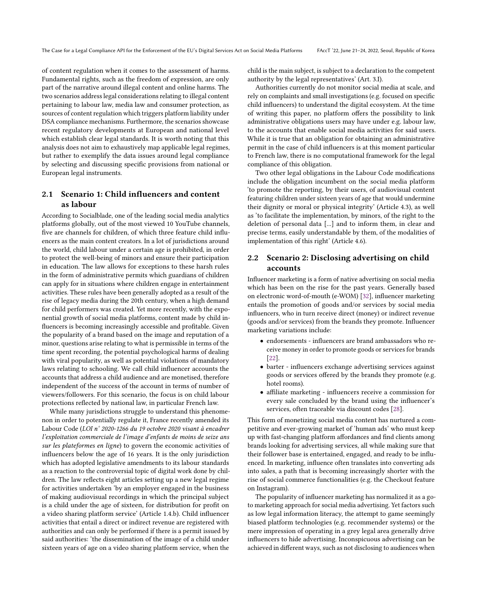of content regulation when it comes to the assessment of harms. Fundamental rights, such as the freedom of expression, are only part of the narrative around illegal content and online harms. The two scenarios address legal considerations relating to illegal content pertaining to labour law, media law and consumer protection, as sources of content regulation which triggers platform liability under DSA compliance mechanisms. Furthermore, the scenarios showcase recent regulatory developments at European and national level which establish clear legal standards. It is worth noting that this analysis does not aim to exhaustively map applicable legal regimes, but rather to exemplify the data issues around legal compliance by selecting and discussing specific provisions from national or European legal instruments.

#### 2.1 Scenario 1: Child influencers and content as labour

According to Socialblade, one of the leading social media analytics platforms globally, out of the most viewed 10 YouTube channels, five are channels for children, of which three feature child influencers as the main content creators. In a lot of jurisdictions around the world, child labour under a certain age is prohibited, in order to protect the well-being of minors and ensure their participation in education. The law allows for exceptions to these harsh rules in the form of administrative permits which guardians of children can apply for in situations where children engage in entertainment activities. These rules have been generally adopted as a result of the rise of legacy media during the 20th century, when a high demand for child performers was created. Yet more recently, with the exponential growth of social media platforms, content made by child influencers is becoming increasingly accessible and profitable. Given the popularity of a brand based on the image and reputation of a minor, questions arise relating to what is permissible in terms of the time spent recording, the potential psychological harms of dealing with viral popularity, as well as potential violations of mandatory laws relating to schooling. We call child influencer accounts the accounts that address a child audience and are monetised, therefore independent of the success of the account in terms of number of viewers/followers. For this scenario, the focus is on child labour protections reflected by national law, in particular French law.

While many jurisdictions struggle to understand this phenomenon in order to potentially regulate it, France recently amended its Labour Code (LOI n° 2020-1266 du 19 octobre 2020 visant à encadrer l'exploitation commerciale de l'image d'enfants de moins de seize ans sur les plateformes en ligne) to govern the economic activities of influencers below the age of 16 years. It is the only jurisdiction which has adopted legislative amendments to its labour standards as a reaction to the controversial topic of digital work done by children. The law reflects eight articles setting up a new legal regime for activities undertaken 'by an employer engaged in the business of making audiovisual recordings in which the principal subject is a child under the age of sixteen, for distribution for profit on a video sharing platform service' (Article 1.4.b). Child influencer activities that entail a direct or indirect revenue are registered with authorities and can only be performed if there is a permit issued by said authorities: 'the dissemination of the image of a child under sixteen years of age on a video sharing platform service, when the

child is the main subject, is subject to a declaration to the competent authority by the legal representatives' (Art. 3.I).

Authorities currently do not monitor social media at scale, and rely on complaints and small investigations (e.g. focused on specific child influencers) to understand the digital ecosystem. At the time of writing this paper, no platform offers the possibility to link administrative obligations users may have under e.g. labour law, to the accounts that enable social media activities for said users. While it is true that an obligation for obtaining an administrative permit in the case of child influencers is at this moment particular to French law, there is no computational framework for the legal compliance of this obligation.

Two other legal obligations in the Labour Code modifications include the obligation incumbent on the social media platform 'to promote the reporting, by their users, of audiovisual content featuring children under sixteen years of age that would undermine their dignity or moral or physical integrity' (Article 4.3), as well as 'to facilitate the implementation, by minors, of the right to the deletion of personal data [...] and to inform them, in clear and precise terms, easily understandable by them, of the modalities of implementation of this right' (Article 4.6).

#### 2.2 Scenario 2: Disclosing advertising on child accounts

Influencer marketing is a form of native advertising on social media which has been on the rise for the past years. Generally based on electronic word-of-mouth (e-WOM) [\[32\]](#page-8-8), influencer marketing entails the promotion of goods and/or services by social media influencers, who in turn receive direct (money) or indirect revenue (goods and/or services) from the brands they promote. Influencer marketing variations include:

- endorsements influencers are brand ambassadors who receive money in order to promote goods or services for brands [\[22\]](#page-7-13).
- barter influencers exchange advertising services against goods or services offered by the brands they promote (e.g. hotel rooms).
- affiliate marketing influencers receive a commission for every sale concluded by the brand using the influencer's services, often traceable via discount codes [\[28\]](#page-8-9).

This form of monetizing social media content has nurtured a competitive and ever-growing market of 'human ads' who must keep up with fast-changing platform affordances and find clients among brands looking for advertising services, all while making sure that their follower base is entertained, engaged, and ready to be influenced. In marketing, influence often translates into converting ads into sales, a path that is becoming increasingly shorter with the rise of social commerce functionalities (e.g. the Checkout feature on Instagram).

The popularity of influencer marketing has normalized it as a goto marketing approach for social media advertising. Yet factors such as low legal information literacy, the attempt to game seemingly biased platform technologies (e.g. recommender systems) or the mere impression of operating in a grey legal area generally drive influencers to hide advertising. Inconspicuous advertising can be achieved in different ways, such as not disclosing to audiences when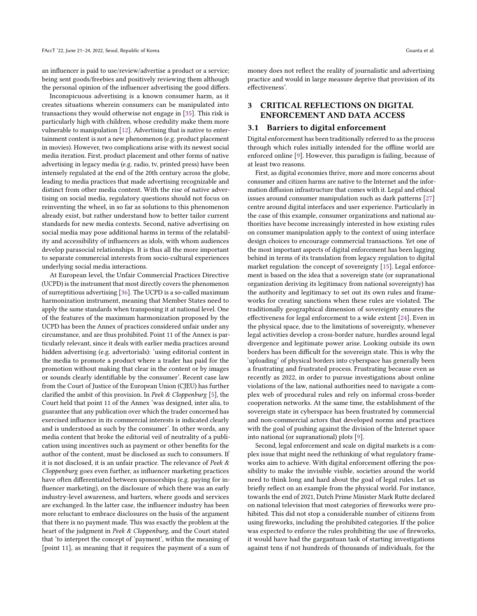an influencer is paid to use/review/advertise a product or a service; being sent goods/freebies and positively reviewing them although the personal opinion of the influencer advertising the good differs.

Inconspicuous advertising is a known consumer harm, as it creates situations wherein consumers can be manipulated into transactions they would otherwise not engage in [\[35\]](#page-8-10). This risk is particularly high with children, whose credulity make them more vulnerable to manipulation [\[12\]](#page-7-14). Advertising that is native to entertainment content is not a new phenomenon (e.g. product placement in movies). However, two complications arise with its newest social media iteration. First, product placement and other forms of native advertising in legacy media (e.g. radio, tv, printed press) have been intensely regulated at the end of the 20th century across the globe, leading to media practices that made advertising recognizable and distinct from other media content. With the rise of native advertising on social media, regulatory questions should not focus on reinventing the wheel, in so far as solutions to this phenomenon already exist, but rather understand how to better tailor current standards for new media contexts. Second, native advertising on social media may pose additional harms in terms of the relatability and accessibility of influencers as idols, with whom audiences develop parasocial relationships. It is thus all the more important to separate commercial interests from socio-cultural experiences underlying social media interactions.

At European level, the Unfair Commercial Practices Directive (UCPD) is the instrument that most directly covers the phenomenon of surreptitious advertising [\[36\]](#page-8-11). The UCPD is a so-called maximum harmonization instrument, meaning that Member States need to apply the same standards when transposing it at national level. One of the features of the maximum harmonization proposed by the UCPD has been the Annex of practices considered unfair under any circumstance, and are thus prohibited. Point 11 of the Annex is particularly relevant, since it deals with earlier media practices around hidden advertising (e.g. advertorials): 'using editorial content in the media to promote a product where a trader has paid for the promotion without making that clear in the content or by images or sounds clearly identifiable by the consumer'. Recent case law from the Court of Justice of the European Union (CJEU) has further clarified the ambit of this provision. In Peek & Cloppenburg [\[5\]](#page-7-15), the Court held that point 11 of the Annex 'was designed, inter alia, to guarantee that any publication over which the trader concerned has exercised influence in its commercial interests is indicated clearly and is understood as such by the consumer'. In other words, any media content that broke the editorial veil of neutrality of a publication using incentives such as payment or other benefits for the author of the content, must be disclosed as such to consumers. If it is not disclosed, it is an unfair practice. The relevance of Peek  $\&$ Cloppenburg goes even further, as influencer marketing practices have often differentiated between sponsorships (e.g. paying for influencer marketing), on the disclosure of which there was an early industry-level awareness, and barters, where goods and services are exchanged. In the latter case, the influencer industry has been more reluctant to embrace disclosures on the basis of the argument that there is no payment made. This was exactly the problem at the heart of the judgment in Peek & Cloppenburg, and the Court stated that 'to interpret the concept of 'payment', within the meaning of [point 11], as meaning that it requires the payment of a sum of

money does not reflect the reality of journalistic and advertising practice and would in large measure deprive that provision of its effectiveness'.

# 3 CRITICAL REFLECTIONS ON DIGITAL ENFORCEMENT AND DATA ACCESS

#### 3.1 Barriers to digital enforcement

Digital enforcement has been traditionally referred to as the process through which rules initially intended for the offline world are enforced online [\[9\]](#page-7-16). However, this paradigm is failing, because of at least two reasons.

First, as digital economies thrive, more and more concerns about consumer and citizen harms are native to the Internet and the information diffusion infrastructure that comes with it. Legal and ethical issues around consumer manipulation such as dark patterns [\[27\]](#page-7-17) centre around digital interfaces and user experience. Particularly in the case of this example, consumer organizations and national authorities have become increasingly interested in how existing rules on consumer manipulation apply to the context of using interface design choices to encourage commercial transactions. Yet one of the most important aspects of digital enforcement has been lagging behind in terms of its translation from legacy regulation to digital market regulation: the concept of sovereignty [\[15\]](#page-7-18). Legal enforcement is based on the idea that a sovereign state (or supranational organization deriving its legitimacy from national sovereignty) has the authority and legitimacy to set out its own rules and frameworks for creating sanctions when these rules are violated. The traditionally geographical dimension of sovereignty ensures the effectiveness for legal enforcement to a wide extent [\[24\]](#page-7-19). Even in the physical space, due to the limitations of sovereignty, whenever legal activities develop a cross-border nature, hurdles around legal divergence and legitimate power arise. Looking outside its own borders has been difficult for the sovereign state. This is why the 'uploading' of physical borders into cyberspace has generally been a frustrating and frustrated process. Frustrating because even as recently as 2022, in order to pursue investigations about online violations of the law, national authorities need to navigate a complex web of procedural rules and rely on informal cross-border cooperation networks. At the same time, the establishment of the sovereign state in cyberspace has been frustrated by commercial and non-commercial actors that developed norms and practices with the goal of pushing against the division of the Internet space into national (or supranational) plots [\[9\]](#page-7-16).

Second, legal enforcement and scale on digital markets is a complex issue that might need the rethinking of what regulatory frameworks aim to achieve. With digital enforcement offering the possibility to make the invisible visible, societies around the world need to think long and hard about the goal of legal rules. Let us briefly reflect on an example from the physical world. For instance, towards the end of 2021, Dutch Prime Minister Mark Rutte declared on national television that most categories of fireworks were prohibited. This did not stop a considerable number of citizens from using fireworks, including the prohibited categories. If the police was expected to enforce the rules prohibiting the use of fireworks, it would have had the gargantuan task of starting investigations against tens if not hundreds of thousands of individuals, for the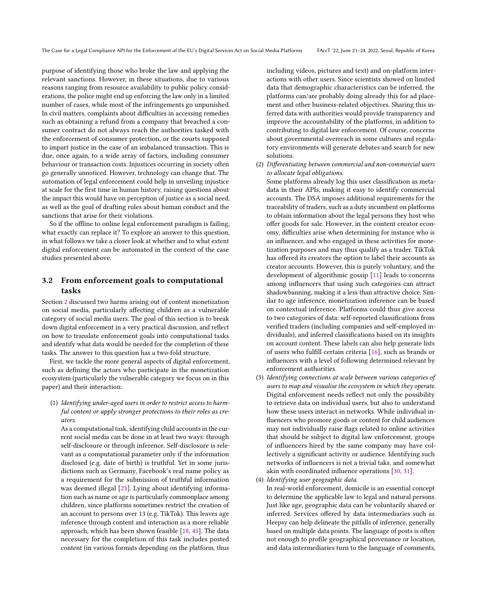purpose of identifying those who broke the law and applying the relevant sanctions. However, in these situations, due to various reasons ranging from resource availability to public policy considerations, the police might end up enforcing the law only in a limited number of cases, while most of the infringements go unpunished. In civil matters, complaints about difficulties in accessing remedies such as obtaining a refund from a company that breached a consumer contract do not always reach the authorities tasked with the enforcement of consumer protection, or the courts supposed to impart justice in the case of an imbalanced transaction. This is due, once again, to a wide array of factors, including consumer behaviour or transaction costs. Injustices occurring in society often go generally unnoticed. However, technology can change that. The automation of legal enforcement could help in unveiling injustice at scale for the first time in human history, raising questions about the impact this would have on perception of justice as a social need, as well as the goal of drafting rules about human conduct and the sanctions that arise for their violations.

So if the offline to online legal enforcement paradigm is failing, what exactly can replace it? To explore an answer to this question, in what follows we take a closer look at whether and to what extent digital enforcement can be automated in the context of the case studies presented above.

# 3.2 From enforcement goals to computational tasks

Section [2](#page-1-0) discussed two harms arising out of content monetization on social media, particularly affecting children as a vulnerable category of social media users. The goal of this section is to break down digital enforcement in a very practical discussion, and reflect on how to translate enforcement goals into computational tasks and identify what data would be needed for the completion of these tasks. The answer to this question has a two-fold structure.

First, we tackle the more general aspects of digital enforcement, such as defining the actors who participate in the monetization ecosystem (particularly the vulnerable category we focus on in this paper) and their interaction:

(1) Identifying under-aged users in order to restrict access to harmful content or apply stronger protections to their roles as creators.

As a computational task, identifying child accounts in the current social media can be done in at least two ways: through self-disclosure or through inference. Self-disclosure is relevant as a computational parameter only if the information disclosed (e.g. date of birth) is truthful. Yet in some jurisdictions such as Germany, Facebook's real name policy as a requirement for the submission of truthful information was deemed illegal [\[23\]](#page-7-20). Lying about identifying information such as name or age is particularly commonplace among children, since platforms sometimes restrict the creation of an account to persons over 13 (e.g. TikTok). This leaves age inference through content and interaction as a more reliable approach, which has been shown feasible [\[18,](#page-7-21) [45\]](#page-8-12). The data necessary for the completion of this task includes posted content (in various formats depending on the platform, thus

including videos, pictures and text) and on-platform interactions with other users. Since scientists showed on limited data that demographic characteristics can be inferred, the platforms can/are probably doing already this for ad placement and other business-related objectives. Sharing this inferred data with authorities would provide transparency and improve the accountability of the platforms, in addition to contributing to digital law enforcement. Of course, concerns about governmental overreach in some cultures and regulatory environments will generate debates and search for new solutions.

(2) Differentiating between commercial and non-commercial users to allocate legal obligations.

Some platforms already log this user classification as metadata in their APIs, making it easy to identify commercial accounts. The DSA imposes additional requirements for the traceability of traders, such as a duty incumbent on platforms to obtain information about the legal persons they host who offer goods for sale. However, in the content creator economy, difficulties arise when determining for instance who is an influencer, and who engaged in these activities for monetization purposes and may thus qualify as a trader. TikTok has offered its creators the option to label their accounts as creator accounts. However, this is purely voluntary, and the development of algorithmic gossip [\[11\]](#page-7-22) leads to concerns among influencers that using such categories can attract shadowbanning, making it a less than attractive choice. Similar to age inference, monetization inference can be based on contextual inference. Platforms could thus give access to two categories of data: self-reported classifications from verified traders (including companies and self-employed individuals), and inferred classifications based on its insights on account content. These labels can also help generate lists of users who fulfill certain criteria [\[16\]](#page-7-23), such as brands or influencers with a level of following determined relevant by enforcement authorities.

- (3) Identifying connections at scale between various categories of users to map and visualise the ecosystem in which they operate. Digital enforcement needs reflect not only the possibility to retrieve data on individual users, but also to understand how these users interact in networks. While individual influencers who promore goods or content for child audiences may not individually raise flags related to online activities that should be subject to digital law enforcement, groups of influencers hired by the same company may have collectively a significant activity or audience. Identifying such networks of influencers is not a trivial taks, and somewhat akin with coordinated influence operations [\[30,](#page-8-13) [31\]](#page-8-14).
- (4) Identifying user geographic data.

In real-world enforcement, domicile is an essential concept to determine the applicable law to legal and natural persons. Just like age, geographic data can be voluntarily shared or inferred. Services offered by data intermediaries such as Heepsy can help delineate the pitfalls of inference, generally based on multiple data points. The language of posts is often not enough to profile geographical provenance or location, and data intermediaries turn to the language of comments,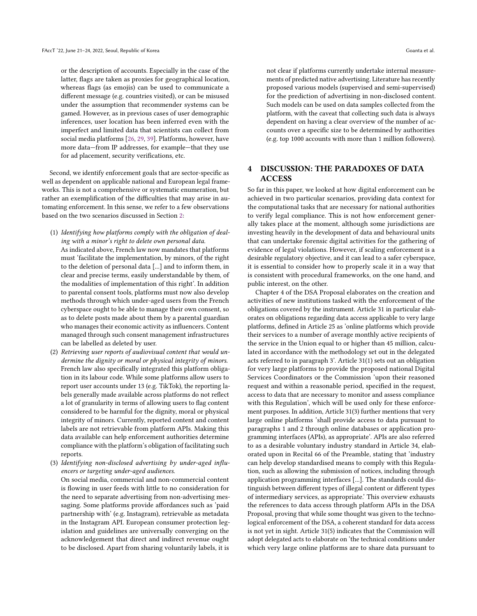or the description of accounts. Especially in the case of the latter, flags are taken as proxies for geographical location, whereas flags (as emojis) can be used to communicate a different message (e.g. countries visited), or can be misused under the assumption that recommender systems can be gamed. However, as in previous cases of user demographic inferences, user location has been inferred even with the imperfect and limited data that scientists can collect from social media platforms [\[26,](#page-7-24) [29,](#page-8-15) [39\]](#page-8-16). Platforms, however, have more data—from IP addresses, for example—that they use for ad placement, security verifications, etc.

Second, we identify enforcement goals that are sector-specific as well as dependent on applicable national and European legal frameworks. This is not a comprehensive or systematic enumeration, but rather an exemplification of the difficulties that may arise in automating enforcement. In this sense, we refer to a few observations based on the two scenarios discussed in Section [2:](#page-1-0)

- (1) Identifying how platforms comply with the obligation of dealing with a minor's right to delete own personal data. As indicated above, French law now mandates that platforms must 'facilitate the implementation, by minors, of the right to the deletion of personal data [...] and to inform them, in clear and precise terms, easily understandable by them, of the modalities of implementation of this right'. In addition to parental consent tools, platforms must now also develop methods through which under-aged users from the French cyberspace ought to be able to manage their own consent, so as to delete posts made about them by a parental guardian who manages their economic activity as influencers. Content managed through such consent management infrastructures can be labelled as deleted by user.
- (2) Retrieving user reports of audiovisual content that would undermine the dignity or moral or physical integrity of minors. French law also specifically integrated this platform obligation in its labour code. While some platforms allow users to report user accounts under 13 (e.g. TikTok), the reporting labels generally made available across platforms do not reflect a lot of granularity in terms of allowing users to flag content considered to be harmful for the dignity, moral or physical integrity of minors. Currently, reported content and content labels are not retrievable from platform APIs. Making this data available can help enforcement authorities determine compliance with the platform's obligation of facilitating such reports.
- (3) Identifying non-disclosed advertising by under-aged influencers or targeting under-aged audiences. On social media, commercial and non-commercial content is flowing in user feeds with little to no consideration for the need to separate advertising from non-advertising messaging. Some platforms provide affordances such as 'paid partnership with' (e.g. Instagram), retrievable as metadata in the Instagram API. European consumer protection legislation and guidelines are universally converging on the acknowledgement that direct and indirect revenue ought to be disclosed. Apart from sharing voluntarily labels, it is

not clear if platforms currently undertake internal measurements of predicted native advertising. Literature has recently proposed various models (supervised and semi-supervised) for the prediction of advertising in non-disclosed content. Such models can be used on data samples collected from the platform, with the caveat that collecting such data is always dependent on having a clear overview of the number of accounts over a specific size to be determined by authorities (e.g. top 1000 accounts with more than 1 million followers).

## 4 DISCUSSION: THE PARADOXES OF DATA **ACCESS**

So far in this paper, we looked at how digital enforcement can be achieved in two particular scenarios, providing data context for the computational tasks that are necessary for national authorities to verify legal compliance. This is not how enforcement generally takes place at the moment, although some jurisdictions are investing heavily in the development of data and behavioural units that can undertake forensic digital activities for the gathering of evidence of legal violations. However, if scaling enforcement is a desirable regulatory objective, and it can lead to a safer cyberspace, it is essential to consider how to properly scale it in a way that is consistent with procedural frameworks, on the one hand, and public interest, on the other.

Chapter 4 of the DSA Proposal elaborates on the creation and activities of new institutions tasked with the enforcement of the obligations covered by the instrument. Article 31 in particular elaborates on obligations regarding data access applicable to very large platforms, defined in Article 25 as 'online platforms which provide their services to a number of average monthly active recipients of the service in the Union equal to or higher than 45 million, calculated in accordance with the methodology set out in the delegated acts referred to in paragraph 3'. Article 31(1) sets out an obligation for very large platforms to provide the proposed national Digital Services Coordinators or the Commission 'upon their reasoned request and within a reasonable period, specified in the request, access to data that are necessary to monitor and assess compliance with this Regulation', which will be used only for these enforcement purposes. In addition, Article 31(3) further mentions that very large online platforms 'shall provide access to data pursuant to paragraphs 1 and 2 through online databases or application programming interfaces (APIs), as appropriate'. APIs are also referred to as a desirable voluntary industry standard in Article 34, elaborated upon in Recital 66 of the Preamble, stating that 'industry can help develop standardised means to comply with this Regulation, such as allowing the submission of notices, including through application programming interfaces [...]. The standards could distinguish between different types of illegal content or different types of intermediary services, as appropriate.' This overview exhausts the references to data access through platform APIs in the DSA Proposal, proving that while some thought was given to the technological enforcement of the DSA, a coherent standard for data access is not yet in sight. Article 31(5) indicates that the Commission will adopt delegated acts to elaborate on 'the technical conditions under which very large online platforms are to share data pursuant to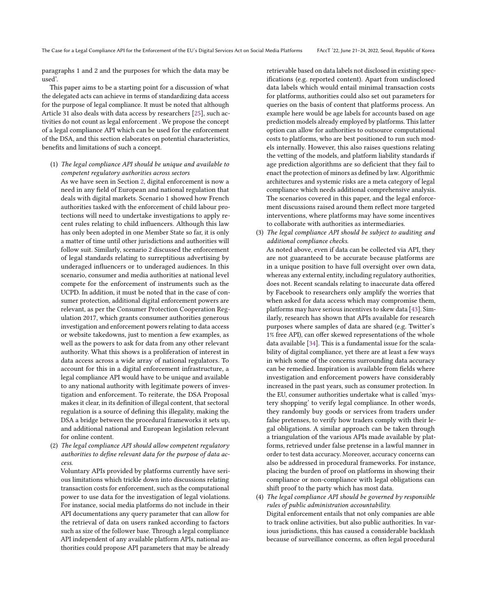paragraphs 1 and 2 and the purposes for which the data may be used'.

This paper aims to be a starting point for a discussion of what the delegated acts can achieve in terms of standardizing data access for the purpose of legal compliance. It must be noted that although Article 31 also deals with data access by researchers [\[25\]](#page-7-25), such activities do not count as legal enforcement . We propose the concept of a legal compliance API which can be used for the enforcement of the DSA, and this section elaborates on potential characteristics, benefits and limitations of such a concept.

(1) The legal compliance API should be unique and available to competent regulatory authorities across sectors

As we have seen in Section [2,](#page-1-0) digital enforcement is now a need in any field of European and national regulation that deals with digital markets. Scenario 1 showed how French authorities tasked with the enforcement of child labour protections will need to undertake investigations to apply recent rules relating to child influencers. Although this law has only been adopted in one Member State so far, it is only a matter of time until other jurisdictions and authorities will follow suit. Similarly, scenario 2 discussed the enforcement of legal standards relating to surreptitious advertising by underaged influencers or to underaged audiences. In this scenario, consumer and media authorities at national level compete for the enforcement of instruments such as the UCPD. In addition, it must be noted that in the case of consumer protection, additional digital enforcement powers are relevant, as per the Consumer Protection Cooperation Regulation 2017, which grants consumer authorities generous investigation and enforcement powers relating to data access or website takedowns, just to mention a few examples, as well as the powers to ask for data from any other relevant authority. What this shows is a proliferation of interest in data access across a wide array of national regulators. To account for this in a digital enforcement infrastructure, a legal compliance API would have to be unique and available to any national authority with legitimate powers of investigation and enforcement. To reiterate, the DSA Proposal makes it clear, in its definition of illegal content, that sectoral regulation is a source of defining this illegality, making the DSA a bridge between the procedural frameworks it sets up, and additional national and European legislation relevant for online content.

(2) The legal compliance API should allow competent regulatory authorities to define relevant data for the purpose of data access.

Voluntary APIs provided by platforms currently have serious limitations which trickle down into discussions relating transaction costs for enforcement, such as the computational power to use data for the investigation of legal violations. For instance, social media platforms do not include in their API documentations any query parameter that can allow for the retrieval of data on users ranked according to factors such as size of the follower base. Through a legal compliance API independent of any available platform APIs, national authorities could propose API parameters that may be already

retrievable based on data labels not disclosed in existing specifications (e.g. reported content). Apart from undisclosed data labels which would entail minimal transaction costs for platforms, authorities could also set out parameters for queries on the basis of content that platforms process. An example here would be age labels for accounts based on age prediction models already employed by platforms. This latter option can allow for authorities to outsource computational costs to platforms, who are best positioned to run such models internally. However, this also raises questions relating the vetting of the models, and platform liability standards if age prediction algorithms are so deficient that they fail to enact the protection of minors as defined by law. Algorithmic architectures and systemic risks are a meta category of legal compliance which needs additional comprehensive analysis. The scenarios covered in this paper, and the legal enforcement discussions raised around them reflect more targeted interventions, where platforms may have some incentives to collaborate with authorities as intermediaries.

(3) The legal compliance API should be subject to auditing and additional compliance checks.

As noted above, even if data can be collected via API, they are not guaranteed to be accurate because platforms are in a unique position to have full oversight over own data, whereas any external entity, including regulatory authorities, does not. Recent scandals relating to inaccurate data offered by Facebook to researchers only amplify the worries that when asked for data access which may compromise them, platforms may have serious incentives to skew data [\[43\]](#page-8-17). Similarly, research has shown that APIs available for research purposes where samples of data are shared (e.g. Twitter's 1% free API), can offer skewed representations of the whole data available [\[34\]](#page-8-18). This is a fundamental issue for the scalability of digital compliance, yet there are at least a few ways in which some of the concerns surrounding data accuracy can be remedied. Inspiration is available from fields where investigation and enforcement powers have considerably increased in the past years, such as consumer protection. In the EU, consumer authorities undertake what is called 'mystery shopping' to verify legal compliance. In other words, they randomly buy goods or services from traders under false pretenses, to verify how traders comply with their legal obligations. A similar approach can be taken through a triangulation of the various APIs made available by platforms, retrieved under false pretense in a lawful manner in order to test data accuracy. Moreover, accuracy concerns can also be addressed in procedural frameworks. For instance, placing the burden of proof on platforms in showing their compliance or non-compliance with legal obligations can shift proof to the party which has most data.

(4) The legal compliance API should be governed by responsible rules of public administration accountability. Digital enforcement entails that not only companies are able to track online activities, but also public authorities. In various jurisdictions, this has caused a considerable backlash because of surveillance concerns, as often legal procedural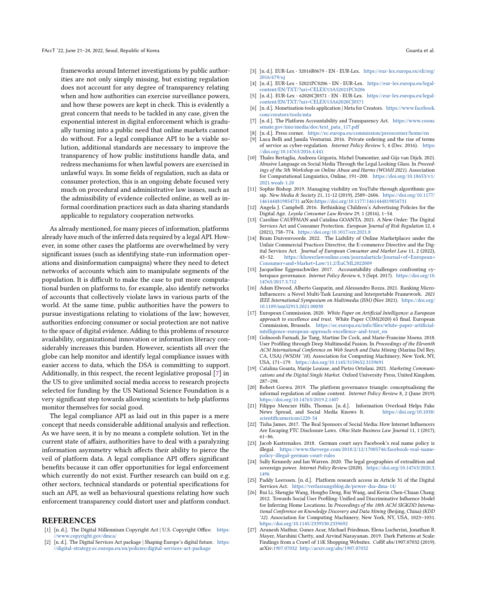frameworks around Internet investigations by public authorities are not only simply missing, but existing regulation does not account for any degree of transparency relating when and how authorities can exercise surveillance powers, and how these powers are kept in check. This is evidently a great concern that needs to be tackled in any case, given the exponential interest in digital enforcement which is gradually turning into a public need that online markets cannot do without. For a legal compliance API to be a viable solution, additional standards are necessary to improve the transparency of how public institutions handle data, and redress mechanisms for when lawful powers are exercised in unlawful ways. In some fields of regulation, such as data or consumer protection, this is an ongoing debate focused very much on procedural and administrative law issues, such as the admissibility of evidence collected online, as well as informal coordination practices such as data sharing standards applicable to regulatory cooperation networks.

As already mentioned, for many pieces of information, platforms already have much of the inferred data required by a legal API. However, in some other cases the platforms are overwhelmed by very significant issues (such as identifying state-run information operations and disinformation campaigns) where they need to detect networks of accounts which aim to manipulate segments of the population. It is difficult to make the case to put more computational burden on platforms to, for example, also identify networks of accounts that collectively violate laws in various parts of the world. At the same time, public authorities have the powers to pursue investigations relating to violations of the law; however, authorities enforcing consumer or social protection are not native to the space of digital evidence. Adding to this problems of resource availability, organizational innovation or information literacy considerably increases this burden. However, scientists all over the globe can help monitor and identify legal compliance issues with easier access to data, which the DSA is committing to support. Additionally, in this respect, the recent legislative proposal [\[7\]](#page-7-26) in the US to give unlimited social media access to research projects selected for funding by the US National Science Foundation is a very significant step towards allowing scientists to help platforms monitor themselves for social good.

The legal compliance API as laid out in this paper is a mere concept that needs considerable additional analysis and reflection. As we have seen, it is by no means a complete solution. Yet in the current state of affairs, authorities have to deal with a paralyzing information asymmetry which affects their ability to pierce the veil of platform data. A legal compliance API offers significant benefits because it can offer opportunities for legal enforcement which currently do not exist. Further research can build on e.g. other sectors, technical standards or potential specifications for such an API, as well as behavioural questions relating how such enforcement transparency could distort user and platform conduct.

#### REFERENCES

- <span id="page-7-10"></span>[1] [n. d.]. The Digital Millennium Copyright Act | U.S. Copyright Office. [https:](https://www.copyright.gov/dmca/) [//www.copyright.gov/dmca/](https://www.copyright.gov/dmca/)
- <span id="page-7-0"></span>[2] [n. d.]. The Digital Services Act package | Shaping Europe's digital future. [https:](https://digital-strategy.ec.europa.eu/en/policies/digital-services-act-package) [//digital-strategy.ec.europa.eu/en/policies/digital-services-act-package](https://digital-strategy.ec.europa.eu/en/policies/digital-services-act-package)
- <span id="page-7-9"></span>[3] [n. d.]. EUR-Lex - 32016R0679 - EN - EUR-Lex. [https://eur-lex.europa.eu/eli/reg/](https://eur-lex.europa.eu/eli/reg/2016/679/oj) [2016/679/oj](https://eur-lex.europa.eu/eli/reg/2016/679/oj)
- <span id="page-7-1"></span>[4] [n. d.]. EUR-Lex - 52021PC0206 - EN - EUR-Lex. [https://eur-lex.europa.eu/legal](https://eur-lex.europa.eu/legal-content/EN/TXT/?uri=CELEX%3A52021PC0206)[content/EN/TXT/?uri=CELEX%3A52021PC0206](https://eur-lex.europa.eu/legal-content/EN/TXT/?uri=CELEX%3A52021PC0206)
- <span id="page-7-15"></span>[5] [n. d.]. EUR-Lex - 62020CJ0371 - EN - EUR-Lex. [https://eur-lex.europa.eu/legal](https://eur-lex.europa.eu/legal-content/EN/TXT/?uri=CELEX%3A62020CJ0371)[content/EN/TXT/?uri=CELEX%3A62020CJ0371](https://eur-lex.europa.eu/legal-content/EN/TXT/?uri=CELEX%3A62020CJ0371)
- <span id="page-7-7"></span>[6] [n. d.]. Monetisation tools application | Meta for Creators. [https://www.facebook.](https://www.facebook.com/creators/tools/mta) [com/creators/tools/mta](https://www.facebook.com/creators/tools/mta)
- <span id="page-7-26"></span>[n. d.]. The Platform Accountability and Transparency Act. [https://www.coons.](https://www.coons.senate.gov/imo/media/doc/text_pata_117.pdf) [senate.gov/imo/media/doc/text\\_pata\\_117.pdf](https://www.coons.senate.gov/imo/media/doc/text_pata_117.pdf)
- <span id="page-7-2"></span>[8] [n. d.]. Press corner. <https://ec.europa.eu/commission/presscorner/home/en>
- <span id="page-7-16"></span>Luca Belli and Jamila Venturini. 2016. Private ordering and the rise of terms of service as cyber-regulation. Internet Policy Review 5, 4 (Dec. 2016). [https:](https://doi.org/10.14763/2016.4.441) [//doi.org/10.14763/2016.4.441](https://doi.org/10.14763/2016.4.441)
- <span id="page-7-6"></span>[10] Thales Bertaglia, Andreea Grigoriu, Michel Dumontier, and Gijs van Dijck. 2021. Abusive Language on Social Media Through the Legal Looking Glass. In Proceedings of the 5th Workshop on Online Abuse and Harms (WOAH 2021). Association for Computational Linguistics, Online, 191–200. [https://doi.org/10.18653/v1/](https://doi.org/10.18653/v1/2021.woah-1.20) [2021.woah-1.20](https://doi.org/10.18653/v1/2021.woah-1.20)
- <span id="page-7-22"></span>[11] Sophie Bishop. 2019. Managing visibility on YouTube through algorithmic gossip. New Media & Society 21, 11-12 (2019), 2589–2606. [https://doi.org/10.1177/](https://doi.org/10.1177/1461444819854731) [1461444819854731](https://doi.org/10.1177/1461444819854731) arXiv[:https://doi.org/10.1177/1461444819854731](https://arxiv.org/abs/https://doi.org/10.1177/1461444819854731)
- <span id="page-7-14"></span>[12] Angela J. Campbell. 2016. Rethinking Children's Advertising Policies for the Digital Age. Loyola Consumer Law Review 29, 1 (2016), 1–54.
- <span id="page-7-3"></span>[13] Caroline CAUFFMAN and Catalina GOANTA. 2021. A New Order: The Digital Services Act and Consumer Protection. European Journal of Risk Regulation 12, 4 (2021), 758–774. <https://doi.org/10.1017/err.2021.8>
- <span id="page-7-4"></span>[14] Bram Duivenvoorde. 2022. The Liability of Online Marketplaces under the Unfair Commercial Practices Directive, the E-commerce Directive and the Digital Services Act. Journal of European Consumer and Market Law 11, 2 (2022), 43–52. [https://kluwerlawonline.com/journalarticle/Journal+of+European+](https://kluwerlawonline.com/journalarticle/Journal+of+European+Consumer+and+Market+Law/11.2/EuCML2022009) [Consumer+and+Market+Law/11.2/EuCML2022009](https://kluwerlawonline.com/journalarticle/Journal+of+European+Consumer+and+Market+Law/11.2/EuCML2022009)
- <span id="page-7-18"></span>[15] Jacqueline Eggenschwiler. 2017. Accountability challenges confronting cyberspace governance. Internet Policy Review 6, 3 (Sept. 2017). [https://doi.org/10.](https://doi.org/10.14763/2017.3.712) [14763/2017.3.712](https://doi.org/10.14763/2017.3.712)
- <span id="page-7-23"></span>[16] Adam Elwood, Alberto Gasparin, and Alessandro Rozza. 2021. Ranking Micro-Influencers: a Novel Multi-Task Learning and Interpretable Framework. 2021 IEEE International Symposium on Multimedia (ISM) (Nov 2021). [https://doi.org/](https://doi.org/10.1109/ism52913.2021.00030) [10.1109/ism52913.2021.00030](https://doi.org/10.1109/ism52913.2021.00030)
- <span id="page-7-11"></span>[17] European Commission. 2020. White Paper on Artificial Intelligence: a European approach to excellence and trust. White Paper COM(2020) 65 final. European Commission, Brussels. [https://ec.europa.eu/info/files/white-paper-artificial](https://ec.europa.eu/info/files/white-paper-artificial-intelligence-european-approach-excellence-and-trust_en)[intelligence-european-approach-excellence-and-trust\\_en](https://ec.europa.eu/info/files/white-paper-artificial-intelligence-european-approach-excellence-and-trust_en)
- <span id="page-7-21"></span>[18] Golnoosh Farnadi, Jie Tang, Martine De Cock, and Marie-Francine Moens. 2018. User Profiling through Deep Multimodal Fusion. In Proceedings of the Eleventh ACM International Conference on Web Search and Data Mining (Marina Del Rey, CA, USA) (WSDM '18). Association for Computing Machinery, New York, NY, USA, 171–179. <https://doi.org/10.1145/3159652.3159691>
- <span id="page-7-8"></span>[19] Catalina Goanta, Marije Louisse, and Pietro Ortolani. 2021. Marketing Communications and the Digital Single Market. Oxford University Press, United Kingdom, 287–298.
- <span id="page-7-12"></span>[20] Robert Gorwa. 2019. The platform governance triangle: conceptualising the informal regulation of online content. Internet Policy Review 8, 2 (June 2019). <https://doi.org/10.14763/2019.2.1407>
- <span id="page-7-5"></span>[21] Filippo Menczer Hills, Thomas. [n. d.]. Information Overload Helps Fake News Spread, and Social Media Knows It. [scientificamerican1220-54](https://doi.org/10.1038/scientificamerican1220-54)
- <span id="page-7-13"></span>[22] Tisha James. 2017. The Real Sponsors of Social Media: How Internet Influencers Are Escaping FTC Disclosure Laws. Ohio State Business Law Journal 11, 1 (2017), 61–86.
- <span id="page-7-20"></span>[23] Jacob Kastrenakes. 2018. German court says Facebook's real name policy is illegal. [https://www.theverge.com/2018/2/12/17005746/facebook-real-name](https://www.theverge.com/2018/2/12/17005746/facebook-real-name-policy-illegal-german-court-rules)[policy-illegal-german-court-rules](https://www.theverge.com/2018/2/12/17005746/facebook-real-name-policy-illegal-german-court-rules)
- <span id="page-7-19"></span>[24] Sally Kennedy and Ian Warren. 2020. The legal geographies of extradition and sovereign power. Internet Policy Review (2020). [https://doi.org/10.14763/2020.3.](https://doi.org/10.14763/2020.3.1496)
- <span id="page-7-25"></span>[1496](https://doi.org/10.14763/2020.3.1496) [25] Paddy Leerssen. [n. d.]. Platform research access in Article 31 of the Digital Services Act. <https://verfassungsblog.de/power-dsa-dma-14/>
- <span id="page-7-24"></span>[26] Rui Li, Shengjie Wang, Hongbo Deng, Rui Wang, and Kevin Chen-Chuan Chang. 2012. Towards Social User Profiling: Unified and Discriminative Influence Model for Inferring Home Locations. In Proceedings of the 18th ACM SIGKDD International Conference on Knowledge Discovery and Data Mining (Beijing, China) (KDD '12). Association for Computing Machinery, New York, NY, USA, 1023–1031. <https://doi.org/10.1145/2339530.2339692>
- <span id="page-7-17"></span>[27] Arunesh Mathur, Gunes Acar, Michael Friedman, Elena Lucherini, Jonathan R. Mayer, Marshini Chetty, and Arvind Narayanan. 2019. Dark Patterns at Scale: Findings from a Crawl of 11K Shopping Websites. CoRR abs/1907.07032 (2019). arXiv[:1907.07032](https://arxiv.org/abs/1907.07032) <http://arxiv.org/abs/1907.07032>